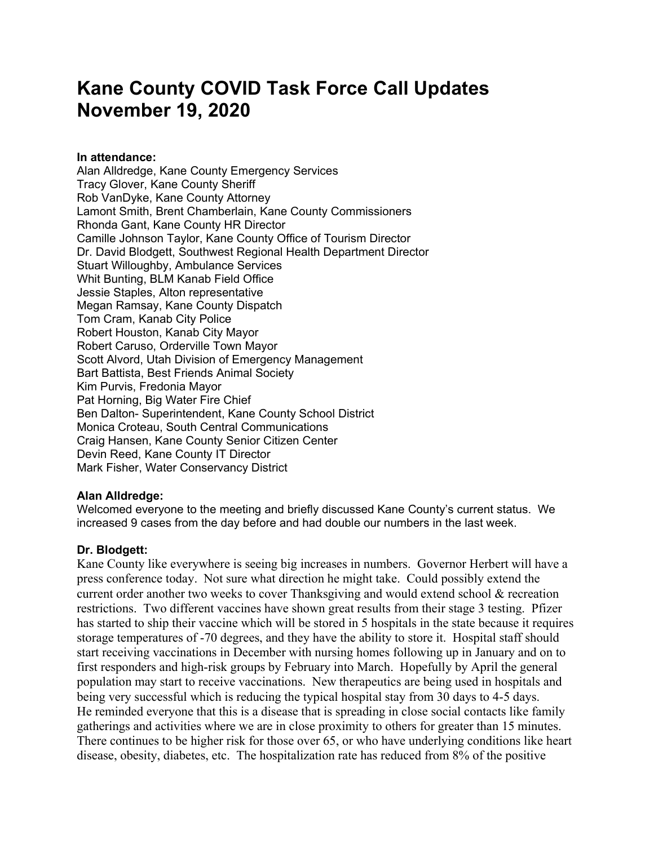# **Kane County COVID Task Force Call Updates November 19, 2020**

## **In attendance:**

Alan Alldredge, Kane County Emergency Services Tracy Glover, Kane County Sheriff Rob VanDyke, Kane County Attorney Lamont Smith, Brent Chamberlain, Kane County Commissioners Rhonda Gant, Kane County HR Director Camille Johnson Taylor, Kane County Office of Tourism Director Dr. David Blodgett, Southwest Regional Health Department Director Stuart Willoughby, Ambulance Services Whit Bunting, BLM Kanab Field Office Jessie Staples, Alton representative Megan Ramsay, Kane County Dispatch Tom Cram, Kanab City Police Robert Houston, Kanab City Mayor Robert Caruso, Orderville Town Mayor Scott Alvord, Utah Division of Emergency Management Bart Battista, Best Friends Animal Society Kim Purvis, Fredonia Mayor Pat Horning, Big Water Fire Chief Ben Dalton- Superintendent, Kane County School District Monica Croteau, South Central Communications Craig Hansen, Kane County Senior Citizen Center Devin Reed, Kane County IT Director Mark Fisher, Water Conservancy District

# **Alan Alldredge:**

Welcomed everyone to the meeting and briefly discussed Kane County's current status. We increased 9 cases from the day before and had double our numbers in the last week.

# **Dr. Blodgett:**

Kane County like everywhere is seeing big increases in numbers. Governor Herbert will have a press conference today. Not sure what direction he might take. Could possibly extend the current order another two weeks to cover Thanksgiving and would extend school & recreation restrictions. Two different vaccines have shown great results from their stage 3 testing. Pfizer has started to ship their vaccine which will be stored in 5 hospitals in the state because it requires storage temperatures of -70 degrees, and they have the ability to store it. Hospital staff should start receiving vaccinations in December with nursing homes following up in January and on to first responders and high-risk groups by February into March. Hopefully by April the general population may start to receive vaccinations. New therapeutics are being used in hospitals and being very successful which is reducing the typical hospital stay from 30 days to 4-5 days. He reminded everyone that this is a disease that is spreading in close social contacts like family gatherings and activities where we are in close proximity to others for greater than 15 minutes. There continues to be higher risk for those over 65, or who have underlying conditions like heart disease, obesity, diabetes, etc. The hospitalization rate has reduced from 8% of the positive